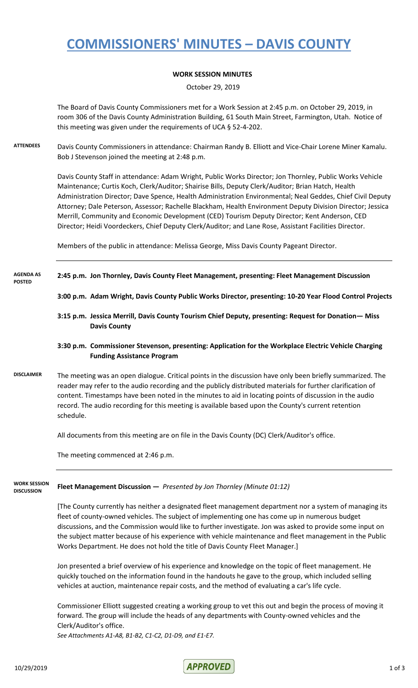# **COMMISSIONERS' MINUTES – DAVIS COUNTY**

## **WORK SESSION MINUTES**

October 29, 2019

The Board of Davis County Commissioners met for a Work Session at 2:45 p.m. on October 29, 2019, in room 306 of the Davis County Administration Building, 61 South Main Street, Farmington, Utah. Notice of this meeting was given under the requirements of UCA § 52-4-202.

**ATTENDEES** Davis County Commissioners in attendance: Chairman Randy B. Elliott and Vice-Chair Lorene Miner Kamalu. Bob J Stevenson joined the meeting at 2:48 p.m.

> Davis County Staff in attendance: Adam Wright, Public Works Director; Jon Thornley, Public Works Vehicle Maintenance; Curtis Koch, Clerk/Auditor; Shairise Bills, Deputy Clerk/Auditor; Brian Hatch, Health Administration Director; Dave Spence, Health Administration Environmental; Neal Geddes, Chief Civil Deputy Attorney; Dale Peterson, Assessor; Rachelle Blackham, Health Environment Deputy Division Director; Jessica Merrill, Community and Economic Development (CED) Tourism Deputy Director; Kent Anderson, CED Director; Heidi Voordeckers, Chief Deputy Clerk/Auditor; and Lane Rose, Assistant Facilities Director.

Members of the public in attendance: Melissa George, Miss Davis County Pageant Director.

### **2:45 p.m. Jon Thornley, Davis County Fleet Management, presenting: Fleet Management Discussion AGENDA AS POSTED**

- **3:00 p.m. Adam Wright, Davis County Public Works Director, presenting: 10-20 Year Flood Control Projects**
- **3:15 p.m. Jessica Merrill, Davis County Tourism Chief Deputy, presenting: Request for Donation— Miss Davis County**

### **3:30 p.m. Commissioner Stevenson, presenting: Application for the Workplace Electric Vehicle Charging Funding Assistance Program**

**DISCLAIMER** The meeting was an open dialogue. Critical points in the discussion have only been briefly summarized. The reader may refer to the audio recording and the publicly distributed materials for further clarification of content. Timestamps have been noted in the minutes to aid in locating points of discussion in the audio record. The audio recording for this meeting is available based upon the County's current retention schedule.

All documents from this meeting are on file in the Davis County (DC) Clerk/Auditor's office.

The meeting commenced at 2:46 p.m.

### **Fleet Management Discussion —** *Presented by Jon Thornley (Minute 01:12)* **WORK SESSION DISCUSSION**

[The County currently has neither a designated fleet management department nor a system of managing its fleet of county-owned vehicles. The subject of implementing one has come up in numerous budget discussions, and the Commission would like to further investigate. Jon was asked to provide some input on the subject matter because of his experience with vehicle maintenance and fleet management in the Public Works Department. He does not hold the title of Davis County Fleet Manager.]

Jon presented a brief overview of his experience and knowledge on the topic of fleet management. He quickly touched on the information found in the handouts he gave to the group, which included selling vehicles at auction, maintenance repair costs, and the method of evaluating a car's life cycle.

Commissioner Elliott suggested creating a working group to vet this out and begin the process of moving it forward. The group will include the heads of any departments with County-owned vehicles and the Clerk/Auditor's office.

*See Attachments A1-A8, B1-B2, C1-C2, D1-D9, and E1-E7.*

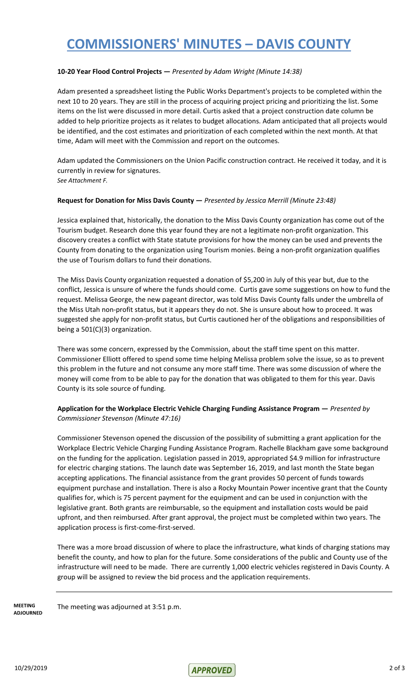# **COMMISSIONERS' MINUTES – DAVIS COUNTY**

### **10-20 Year Flood Control Projects —** *Presented by Adam Wright (Minute 14:38)*

Adam presented a spreadsheet listing the Public Works Department's projects to be completed within the next 10 to 20 years. They are still in the process of acquiring project pricing and prioritizing the list. Some items on the list were discussed in more detail. Curtis asked that a project construction date column be added to help prioritize projects as it relates to budget allocations. Adam anticipated that all projects would be identified, and the cost estimates and prioritization of each completed within the next month. At that time, Adam will meet with the Commission and report on the outcomes.

Adam updated the Commissioners on the Union Pacific construction contract. He received it today, and it is currently in review for signatures. *See Attachment F.*

### **Request for Donation for Miss Davis County —** *Presented by Jessica Merrill (Minute 23:48)*

Jessica explained that, historically, the donation to the Miss Davis County organization has come out of the Tourism budget. Research done this year found they are not a legitimate non-profit organization. This discovery creates a conflict with State statute provisions for how the money can be used and prevents the County from donating to the organization using Tourism monies. Being a non-profit organization qualifies the use of Tourism dollars to fund their donations.

The Miss Davis County organization requested a donation of \$5,200 in July of this year but, due to the conflict, Jessica is unsure of where the funds should come. Curtis gave some suggestions on how to fund the request. Melissa George, the new pageant director, was told Miss Davis County falls under the umbrella of the Miss Utah non-profit status, but it appears they do not. She is unsure about how to proceed. It was suggested she apply for non-profit status, but Curtis cautioned her of the obligations and responsibilities of being a 501(C)(3) organization.

There was some concern, expressed by the Commission, about the staff time spent on this matter. Commissioner Elliott offered to spend some time helping Melissa problem solve the issue, so as to prevent this problem in the future and not consume any more staff time. There was some discussion of where the money will come from to be able to pay for the donation that was obligated to them for this year. Davis County is its sole source of funding.

## **Application for the Workplace Electric Vehicle Charging Funding Assistance Program —** *Presented by Commissioner Stevenson (Minute 47:16)*

Commissioner Stevenson opened the discussion of the possibility of submitting a grant application for the Workplace Electric Vehicle Charging Funding Assistance Program. Rachelle Blackham gave some background on the funding for the application. Legislation passed in 2019, appropriated \$4.9 million for infrastructure for electric charging stations. The launch date was September 16, 2019, and last month the State began accepting applications. The financial assistance from the grant provides 50 percent of funds towards equipment purchase and installation. There is also a Rocky Mountain Power incentive grant that the County qualifies for, which is 75 percent payment for the equipment and can be used in conjunction with the legislative grant. Both grants are reimbursable, so the equipment and installation costs would be paid upfront, and then reimbursed. After grant approval, the project must be completed within two years. The application process is first-come-first-served.

There was a more broad discussion of where to place the infrastructure, what kinds of charging stations may benefit the county, and how to plan for the future. Some considerations of the public and County use of the infrastructure will need to be made. There are currently 1,000 electric vehicles registered in Davis County. A group will be assigned to review the bid process and the application requirements.

**MEETING** The meeting was adjourned at 3:51 p.m. **ADJOURNED**